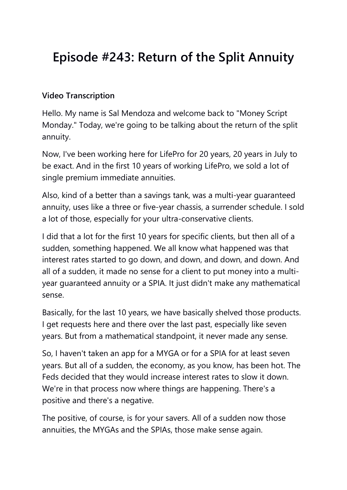## **Episode #243: Return of the Split Annuity**

## **Video Transcription**

Hello. My name is Sal Mendoza and welcome back to "Money Script Monday." Today, we're going to be talking about the return of the split annuity.

Now, I've been working here for LifePro for 20 years, 20 years in July to be exact. And in the first 10 years of working LifePro, we sold a lot of single premium immediate annuities.

Also, kind of a better than a savings tank, was a multi-year guaranteed annuity, uses like a three or five-year chassis, a surrender schedule. I sold a lot of those, especially for your ultra-conservative clients.

I did that a lot for the first 10 years for specific clients, but then all of a sudden, something happened. We all know what happened was that interest rates started to go down, and down, and down, and down. And all of a sudden, it made no sense for a client to put money into a multiyear guaranteed annuity or a SPIA. It just didn't make any mathematical sense.

Basically, for the last 10 years, we have basically shelved those products. I get requests here and there over the last past, especially like seven years. But from a mathematical standpoint, it never made any sense.

So, I haven't taken an app for a MYGA or for a SPIA for at least seven years. But all of a sudden, the economy, as you know, has been hot. The Feds decided that they would increase interest rates to slow it down. We're in that process now where things are happening. There's a positive and there's a negative.

The positive, of course, is for your savers. All of a sudden now those annuities, the MYGAs and the SPIAs, those make sense again.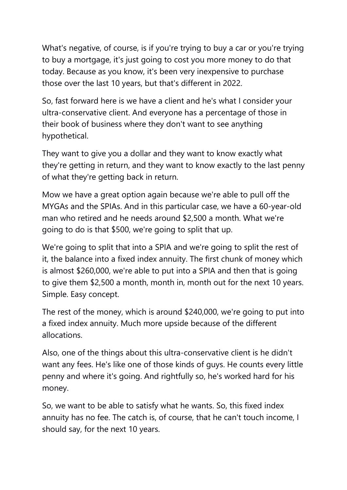What's negative, of course, is if you're trying to buy a car or you're trying to buy a mortgage, it's just going to cost you more money to do that today. Because as you know, it's been very inexpensive to purchase those over the last 10 years, but that's different in 2022.

So, fast forward here is we have a client and he's what I consider your ultra-conservative client. And everyone has a percentage of those in their book of business where they don't want to see anything hypothetical.

They want to give you a dollar and they want to know exactly what they're getting in return, and they want to know exactly to the last penny of what they're getting back in return.

Mow we have a great option again because we're able to pull off the MYGAs and the SPIAs. And in this particular case, we have a 60-year-old man who retired and he needs around \$2,500 a month. What we're going to do is that \$500, we're going to split that up.

We're going to split that into a SPIA and we're going to split the rest of it, the balance into a fixed index annuity. The first chunk of money which is almost \$260,000, we're able to put into a SPIA and then that is going to give them \$2,500 a month, month in, month out for the next 10 years. Simple. Easy concept.

The rest of the money, which is around \$240,000, we're going to put into a fixed index annuity. Much more upside because of the different allocations.

Also, one of the things about this ultra-conservative client is he didn't want any fees. He's like one of those kinds of guys. He counts every little penny and where it's going. And rightfully so, he's worked hard for his money.

So, we want to be able to satisfy what he wants. So, this fixed index annuity has no fee. The catch is, of course, that he can't touch income, I should say, for the next 10 years.